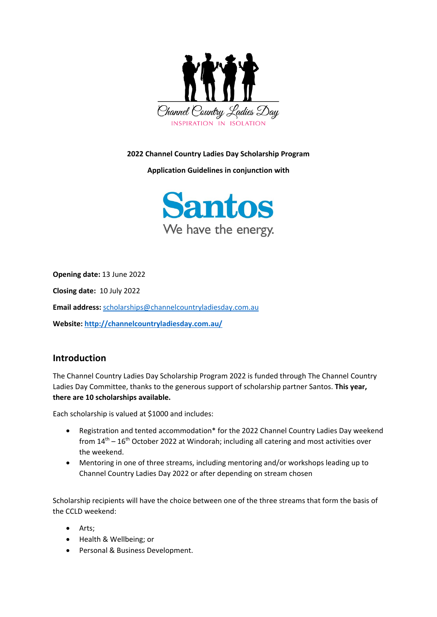

#### **2022 Channel Country Ladies Day Scholarship Program**

**Application Guidelines in conjunction with**



**Opening date:** 13 June 2022

**Closing date:** 10 July 2022

**Email address:** [scholarships@channelcountryladiesday.com.au](mailto:scholarships@channelcountryladiesday.com.au)

**Website:<http://channelcountryladiesday.com.au/>**

## **Introduction**

The Channel Country Ladies Day Scholarship Program 2022 is funded through The Channel Country Ladies Day Committee, thanks to the generous support of scholarship partner Santos. **This year, there are 10 scholarships available.**

Each scholarship is valued at \$1000 and includes:

- Registration and tented accommodation\* for the 2022 Channel Country Ladies Day weekend from  $14<sup>th</sup> - 16<sup>th</sup>$  October 2022 at Windorah; including all catering and most activities over the weekend.
- Mentoring in one of three streams, including mentoring and/or workshops leading up to Channel Country Ladies Day 2022 or after depending on stream chosen

Scholarship recipients will have the choice between one of the three streams that form the basis of the CCLD weekend:

- Arts;
- Health & Wellbeing; or
- Personal & Business Development.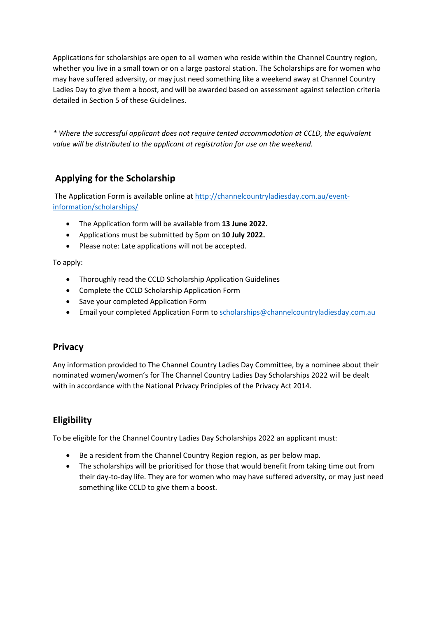Applications for scholarships are open to all women who reside within the Channel Country region, whether you live in a small town or on a large pastoral station. The Scholarships are for women who may have suffered adversity, or may just need something like a weekend away at Channel Country Ladies Day to give them a boost, and will be awarded based on assessment against selection criteria detailed in Section 5 of these Guidelines.

*\* Where the successful applicant does not require tented accommodation at CCLD, the equivalent value will be distributed to the applicant at registration for use on the weekend.*

# **Applying for the Scholarship**

The Application Form is available online at [http://channelcountryladiesday.com.au/event](http://channelcountryladiesday.com.au/event-information/scholarships/)[information/scholarships/](http://channelcountryladiesday.com.au/event-information/scholarships/)

- The Application form will be available from **13 June 2022.**
- Applications must be submitted by 5pm on **10 July 2022.**
- Please note: Late applications will not be accepted.

To apply:

- Thoroughly read the CCLD Scholarship Application Guidelines
- Complete the CCLD Scholarship Application Form
- Save your completed Application Form
- Email your completed Application Form to [scholarships@channelcountryladiesday.com.au](mailto:scholarships@channelcountryladiesday.com.au)

## **Privacy**

Any information provided to The Channel Country Ladies Day Committee, by a nominee about their nominated women/women's for The Channel Country Ladies Day Scholarships 2022 will be dealt with in accordance with the National Privacy Principles of the Privacy Act 2014.

## **Eligibility**

To be eligible for the Channel Country Ladies Day Scholarships 2022 an applicant must:

- Be a resident from the Channel Country Region region, as per below map.
- The scholarships will be prioritised for those that would benefit from taking time out from their day-to-day life. They are for women who may have suffered adversity, or may just need something like CCLD to give them a boost.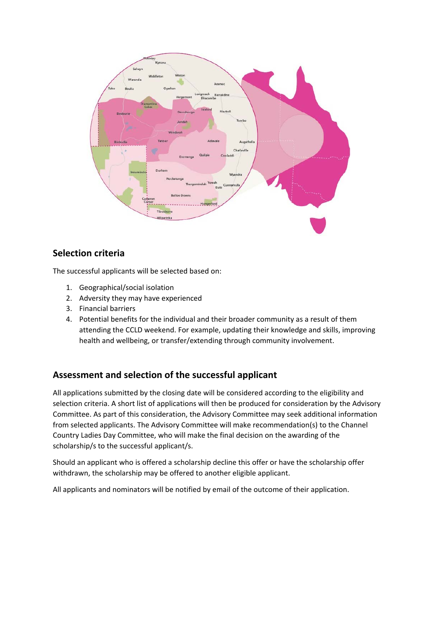

## **Selection criteria**

The successful applicants will be selected based on:

- 1. Geographical/social isolation
- 2. Adversity they may have experienced
- 3. Financial barriers
- 4. Potential benefits for the individual and their broader community as a result of them attending the CCLD weekend. For example, updating their knowledge and skills, improving health and wellbeing, or transfer/extending through community involvement.

## **Assessment and selection of the successful applicant**

All applications submitted by the closing date will be considered according to the eligibility and selection criteria. A short list of applications will then be produced for consideration by the Advisory Committee. As part of this consideration, the Advisory Committee may seek additional information from selected applicants. The Advisory Committee will make recommendation(s) to the Channel Country Ladies Day Committee, who will make the final decision on the awarding of the scholarship/s to the successful applicant/s.

Should an applicant who is offered a scholarship decline this offer or have the scholarship offer withdrawn, the scholarship may be offered to another eligible applicant.

All applicants and nominators will be notified by email of the outcome of their application.